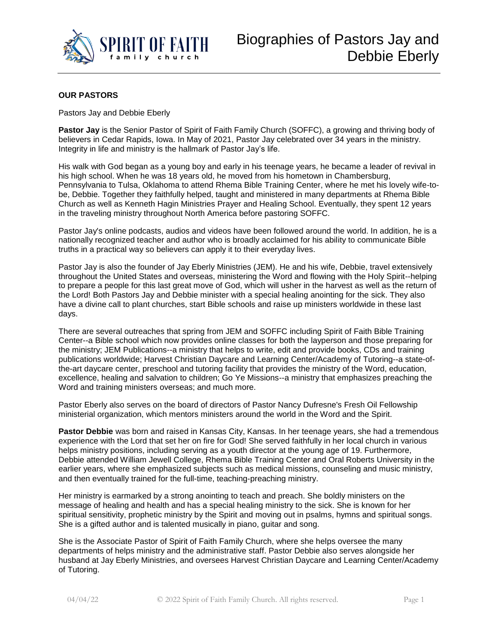

## **OUR PASTORS**

Pastors Jay and Debbie Eberly

**Pastor Jay** is the Senior Pastor of Spirit of Faith Family Church (SOFFC), a growing and thriving body of believers in Cedar Rapids, Iowa. In May of 2021, Pastor Jay celebrated over 34 years in the ministry. Integrity in life and ministry is the hallmark of Pastor Jay's life.

His walk with God began as a young boy and early in his teenage years, he became a leader of revival in his high school. When he was 18 years old, he moved from his hometown in Chambersburg, Pennsylvania to Tulsa, Oklahoma to attend Rhema Bible Training Center, where he met his lovely wife-tobe, Debbie. Together they faithfully helped, taught and ministered in many departments at Rhema Bible Church as well as Kenneth Hagin Ministries Prayer and Healing School. Eventually, they spent 12 years in the traveling ministry throughout North America before pastoring SOFFC.

Pastor Jay's online podcasts, audios and videos have been followed around the world. In addition, he is a nationally recognized teacher and author who is broadly acclaimed for his ability to communicate Bible truths in a practical way so believers can apply it to their everyday lives.

Pastor Jay is also the founder of Jay Eberly Ministries (JEM). He and his wife, Debbie, travel extensively throughout the United States and overseas, ministering the Word and flowing with the Holy Spirit--helping to prepare a people for this last great move of God, which will usher in the harvest as well as the return of the Lord! Both Pastors Jay and Debbie minister with a special healing anointing for the sick. They also have a divine call to plant churches, start Bible schools and raise up ministers worldwide in these last days.

There are several outreaches that spring from JEM and SOFFC including Spirit of Faith Bible Training Center--a Bible school which now provides online classes for both the layperson and those preparing for the ministry; JEM Publications--a ministry that helps to write, edit and provide books, CDs and training publications worldwide; Harvest Christian Daycare and Learning Center/Academy of Tutoring--a state-ofthe-art daycare center, preschool and tutoring facility that provides the ministry of the Word, education, excellence, healing and salvation to children; Go Ye Missions--a ministry that emphasizes preaching the Word and training ministers overseas; and much more.

Pastor Eberly also serves on the board of directors of Pastor Nancy Dufresne's Fresh Oil Fellowship ministerial organization, which mentors ministers around the world in the Word and the Spirit.

**Pastor Debbie** was born and raised in Kansas City, Kansas. In her teenage years, she had a tremendous experience with the Lord that set her on fire for God! She served faithfully in her local church in various helps ministry positions, including serving as a youth director at the young age of 19. Furthermore, Debbie attended William Jewell College, Rhema Bible Training Center and Oral Roberts University in the earlier years, where she emphasized subjects such as medical missions, counseling and music ministry, and then eventually trained for the full-time, teaching-preaching ministry.

Her ministry is earmarked by a strong anointing to teach and preach. She boldly ministers on the message of healing and health and has a special healing ministry to the sick. She is known for her spiritual sensitivity, prophetic ministry by the Spirit and moving out in psalms, hymns and spiritual songs. She is a gifted author and is talented musically in piano, guitar and song.

She is the Associate Pastor of Spirit of Faith Family Church, where she helps oversee the many departments of helps ministry and the administrative staff. Pastor Debbie also serves alongside her husband at Jay Eberly Ministries, and oversees Harvest Christian Daycare and Learning Center/Academy of Tutoring.